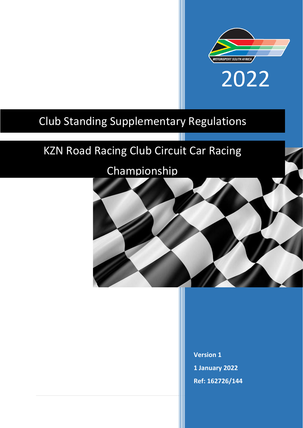

# Club Standing Supplementary Regulations

## KZN Road Racing Club Circuit Car Racing

## Championship



**Version 1 1 January 2022 Ref: 162726/144**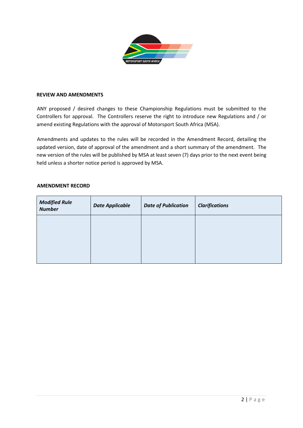

#### **REVIEW AND AMENDMENTS**

ANY proposed / desired changes to these Championship Regulations must be submitted to the Controllers for approval. The Controllers reserve the right to introduce new Regulations and / or amend existing Regulations with the approval of Motorsport South Africa (MSA).

Amendments and updates to the rules will be recorded in the Amendment Record, detailing the updated version, date of approval of the amendment and a short summary of the amendment. The new version of the rules will be published by MSA at least seven (7) days prior to the next event being held unless a shorter notice period is approved by MSA.

| <b>Modified Rule</b><br><b>Number</b> | <b>Date Applicable</b> | <b>Date of Publication</b> | <b>Clarifications</b> |
|---------------------------------------|------------------------|----------------------------|-----------------------|
|                                       |                        |                            |                       |
|                                       |                        |                            |                       |
|                                       |                        |                            |                       |

#### **AMENDMENT RECORD**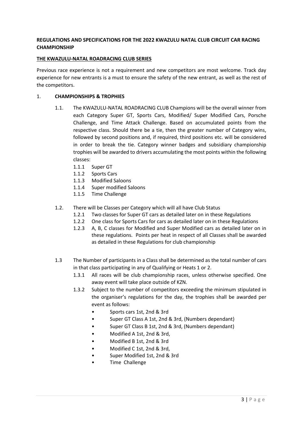## **REGULATIONS AND SPECIFICATIONS FOR THE 2022 KWAZULU NATAL CLUB CIRCUIT CAR RACING CHAMPIONSHIP**

## **THE KWAZULU-NATAL ROADRACING CLUB SERIES**

Previous race experience is not a requirement and new competitors are most welcome. Track day experience for new entrants is a must to ensure the safety of the new entrant, as well as the rest of the competitors.

## 1. **CHAMPIONSHIPS & TROPHIES**

- 1.1. The KWAZULU-NATAL ROADRACING CLUB Champions will be the overall winner from each Category Super GT, Sports Cars, Modified/ Super Modified Cars, Porsche Challenge, and Time Attack Challenge. Based on accumulated points from the respective class. Should there be a tie, then the greater number of Category wins, followed by second positions and, if required, third positions etc. will be considered in order to break the tie. Category winner badges and subsidiary championship trophies will be awarded to drivers accumulating the most points within the following classes:
	- 1.1.1 Super GT
	- 1.1.2 Sports Cars
	- 1.1.3 Modified Saloons
	- 1.1.4 Super modified Saloons
	- 1.1.5 Time Challenge
- 1.2. There will be Classes per Category which will all have Club Status
	- 1.2.1 Two classes for Super GT cars as detailed later on in these Regulations
	- 1.2.2 One class for Sports Cars for cars as detailed later on in these Regulations
	- 1.2.3 A, B, C classes for Modified and Super Modified cars as detailed later on in these regulations. Points per heat in respect of all Classes shall be awarded as detailed in these Regulations for club championship
- 1.3 The Number of participants in a Class shall be determined as the total number of cars in that class participating in any of Qualifying or Heats 1 or 2.
	- 1.3.1 All races will be club championship races, unless otherwise specified. One away event will take place outside of KZN.
	- 1.3.2 Subject to the number of competitors exceeding the minimum stipulated in the organiser's regulations for the day, the trophies shall be awarded per event as follows:
		- Sports cars 1st, 2nd & 3rd
		- Super GT Class A 1st, 2nd & 3rd, (Numbers dependant)
		- Super GT Class B 1st, 2nd & 3rd, (Numbers dependant)
		- Modified A 1st, 2nd & 3rd,
		- Modified B 1st, 2nd & 3rd
		- Modified C 1st, 2nd & 3rd,
		- Super Modified 1st, 2nd & 3rd
		- Time Challenge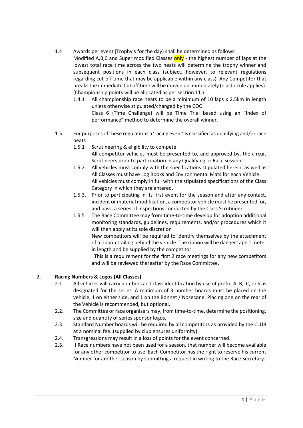1.4 Awards per event (Trophy's for the day) shall be determined as follows:

Modified A,B,C and Super modified Classes only - the highest number of laps at the lowest total race time across the two heats will determine the trophy winner and subsequent positions in each class (subject, however, to relevant regulations regarding cut-off time that may be applicable within any class). Any Competitor that breaks the immediate Cut off time will be moved up immediately (elastic rule applies). (Championship points will be allocated as per section 11.)

1.4.1 All championship race heats to be a minimum of 10 laps x 2.5km in length unless otherwise stipulated/changed by the COC

Class 6 (Time Challenge) will be Time Trial based using an "Index of performance" method to determine the overall winner.

- 1.5 For purposes of these regulations a 'racing event' is classified as qualifying and/or race heats
	- 1.5.1 Scrutineering & eligibility to compete All competitor vehicles must be presented to, and approved by, the circuit Scrutineers prior to participation in any Qualifying or Race session.
	- 1.5.2. All vehicles must comply with the specifications stipulated herein, as well as All Classes must have Log Books and Environmental Mats for each Vehicle. All vehicles must comply in full with the stipulated specifications of the Class Category in which they are entered.
	- 1.5.3. Prior to participating in its first event for the season and after any contact, incident or material modification, a competitor vehicle must be presented for, and pass, a series of inspections conducted by the Class Scrutineer
	- 1.5.5 The Race Committee may from time-to-time develop for adoption additional monitoring standards, guidelines, requirements, and/or procedures which it will then apply at its sole discretion

New competitors will be required to identify themselves by the attachment of a ribbon trailing behind the vehicle. The ribbon will be danger tape 1 meter in length and be supplied by the competitor.

 This is a requirement for the first 2 race meetings for any new competitors and will be reviewed thereafter by the Race Committee.

## 2. **Racing Numbers & Logos (All Classes)**

- 2.1. All vehicles will carry numbers and class identification by use of prefix A, B, C, or S as designated for the series. A minimum of 3 number boards must be placed on the vehicle, 1 on either side, and 1 on the Bonnet / Nosecone. Placing one on the rear of the Vehicle is recommended, but optional.
- 2.2. The Committee or race organisers may, from time-to-time, determine the positioning, size and quantity of series sponsor logos.
- 2.3. Standard Number boards will be required by all competitors as provided by the CLUB at a nominal fee. (supplied by club ensures uniformity)
- 2.4. Transgressions may result in a loss of points for the event concerned.
- 2.5. If Race numbers have not been used for a season, that number will become available for any other competitor to use. Each Competitor has the right to reserve his current Number for another season by submitting a request in writing to the Race Secretary.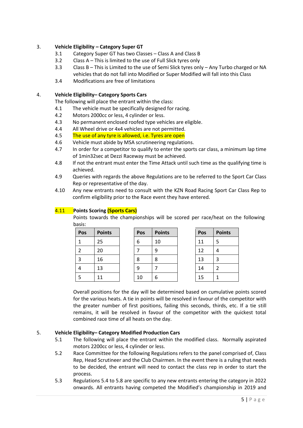## 3. **Vehicle Eligibility – Category Super GT**

- 3.1 Category Super GT has two Classes Class A and Class B
- 3.2 Class A This is limited to the use of Full Slick tyres only
- 3.3 Class B This is Limited to the use of Semi Slick tyres only Any Turbo charged or NA vehicles that do not fall into Modified or Super Modified will fall into this Class
- 3.4 Modifications are free of limitations

## 4. **Vehicle Eligibility– Category Sports Cars**

The following will place the entrant within the class:

- 4.1 The vehicle must be specifically designed for racing.
- 4.2 Motors 2000cc or less, 4 cylinder or less.
- 4.3 No permanent enclosed roofed type vehicles are eligible.
- 4.4 All Wheel drive or 4x4 vehicles are not permitted.
- 4.5 The use of any tyre is allowed, i.e. Tyres are open
- 4.6 Vehicle must abide by MSA scrutineering regulations.
- 4.7 In order for a competitor to qualify to enter the sports car class, a minimum lap time of 1min32sec at Dezzi Raceway must be achieved.
- 4.8 If not the entrant must enter the Time Attack until such time as the qualifying time is achieved.
- 4.9 Queries with regards the above Regulations are to be referred to the Sport Car Class Rep or representative of the day.
- 4.10 Any new entrants need to consult with the KZN Road Racing Sport Car Class Rep to confirm eligibility prior to the Race event they have entered.

## 4.11 **Points Scoring (Sports Cars)**

Points towards the championships will be scored per race/heat on the following basis:

| Pos | <b>Points</b> | Pos | <b>Points</b> | Pos | <b>Points</b> |
|-----|---------------|-----|---------------|-----|---------------|
|     | 25            | 6   | 10            | 11  |               |
|     | 20            |     | 9             | 12  | 4             |
| 3   | 16            | 8   | 8             | 13  | 3             |
| 4   | 13            | 9   |               | 14  |               |
|     | 11            | 10  | 6             | 15  |               |

Overall positions for the day will be determined based on cumulative points scored for the various heats. A tie in points will be resolved in favour of the competitor with the greater number of first positions, failing this seconds, thirds, etc. If a tie still remains, it will be resolved in favour of the competitor with the quickest total combined race time of all heats on the day.

## 5. **Vehicle Eligibility– Category Modified Production Cars**

- 5.1 The following will place the entrant within the modified class. Normally aspirated motors 2200cc or less, 4 cylinder or less.
- 5.2 Race Committee for the following Regulations refers to the panel comprised of, Class Rep, Head Scrutineer and the Club Chairmen. In the event there is a ruling that needs to be decided, the entrant will need to contact the class rep in order to start the process.
- 5.3 Regulations 5.4 to 5.8 are specific to any new entrants entering the category in 2022 onwards. All entrants having competed the Modified's championship in 2019 and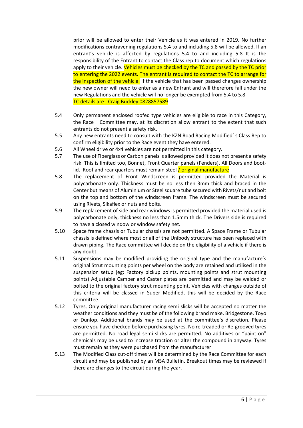prior will be allowed to enter their Vehicle as it was entered in 2019. No further modifications contravening regulations 5.4 to and including 5.8 will be allowed. If an entrant's vehicle is affected by regulations 5.4 to and including 5.8 It is the responsibility of the Entrant to contact the Class rep to document which regulations apply to their vehicle. Vehicles must be checked by the TC and passed by the TC prior to entering the 2022 events. The entrant is required to contact the TC to arrange for the inspection of the vehicle. If the vehicle that has been passed changes ownership the new owner will need to enter as a new Entrant and will therefore fall under the new Regulations and the vehicle will no longer be exempted from 5.4 to 5.8 TC details are : Craig Buckley 0828857589

- 5.4 Only permanent enclosed roofed type vehicles are eligible to race in this Category, the Race Committee may, at its discretion allow entrant to the extent that such entrants do not present a safety risk.
- 5.5 Any new entrants need to consult with the KZN Road Racing Modified' s Class Rep to confirm eligibility prior to the Race event they have entered.
- 5.6 All Wheel drive or 4x4 vehicles are not permitted in this category.
- 5.7 The use of Fiberglass or Carbon panels is allowed provided it does not present a safety risk. This is limited too, Bonnet, Front Quarter panels (Fenders), All Doors and bootlid. Roof and rear quarters must remain steel  $\frac{1}{1}$  original manufacture
- 5.8 The replacement of Front Windscreen is permitted provided the Material is polycarbonate only. Thickness must be no less then 3mm thick and braced in the Center but means of Aluminium or Steel square tube secured with Rivets/nut and bolt on the top and bottom of the windscreen frame. The windscreen must be secured using Rivets, Sikaflex or nuts and bolts.
- 5.9 The replacement of side and rear windows is permitted provided the material used is polycarbonate only, thickness no less than 1.5mm thick. The Drivers side is required to have a closed window or window safety net.
- 5.10 Space frame chassis or Tubular chassis are not permitted. A Space Frame or Tubular chassis is defined where most or all of the Unibody structure has been replaced with drawn piping. The Race committee will decide on the eligibility of a vehicle if there is any doubt.
- 5.11 Suspensions may be modified providing the original type and the manufacture's original Strut mounting points per wheel on the body are retained and utilised in the suspension setup (eg: Factory pickup points, mounting points and strut mounting points) Adjustable Camber and Caster plates are permitted and may be welded or bolted to the original factory strut mounting point. Vehicles with changes outside of this criteria will be classed in Super Modified, this will be decided by the Race committee.
- 5.12 Tyres, Only original manufacturer racing semi slicks will be accepted no matter the weather conditions and they must be of the following brand make. Bridgestone, Toyo or Dunlop. Additional brands may be used at the committee's discretion. Please ensure you have checked before purchasing tyres. No re-treaded or Re-grooved tyres are permitted. No road legal semi slicks are permitted. No additives or "paint on" chemicals may be used to increase traction or alter the compound in anyway. Tyres must remain as they were purchased from the manufacturer
- 5.13 The Modified Class cut-off times will be determined by the Race Committee for each circuit and may be published by an MSA Bulletin. Breakout times may be reviewed if there are changes to the circuit during the year.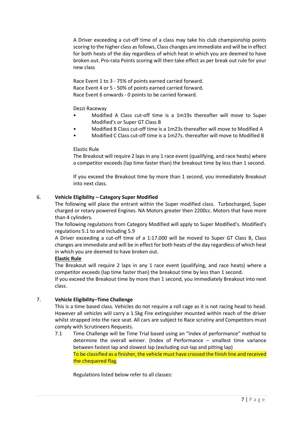A Driver exceeding a cut-off time of a class may take his club championship points scoring to the higher class as follows, Class changes are immediate and will be in effect for both heats of the day regardless of which heat in which you are deemed to have broken out. Pro-rata Points scoring will then take effect as per break out rule for your new class

Race Event 1 to 3 - 75% of points earned carried forward. Race Event 4 or 5 - 50% of points earned carried forward. Race Event 6 onwards - 0 points to be carried forward.

Dezzi Raceway

- Modified A Class cut-off time is a 1m19s thereafter will move to Super Modified's or Super GT Class B
- Modified B Class cut-off time is a 1m23s thereafter will move to Modified A
- Modified C Class cut-off time is a 1m27s. thereafter will move to Modified B

## Elastic Rule

The Breakout will require 2 laps in any 1 race event (qualifying, and race heats) where a competitor exceeds (lap time faster than) the breakout time by less than 1 second.

If you exceed the Breakout time by more than 1 second, you immediately Breakout into next class.

## 6. **Vehicle Eligibility – Category Super Modified**

The following will place the entrant within the Super modified class. Turbocharged, Super charged or rotary powered Engines. NA Motors greater then 2200cc. Motors that have more than 4 cylinders.

The following regulations from Category Modified will apply to Super Modified's. Modified's regulations 5.1 to and including 5.9

A Driver exceeding a cut-off time of a 1:17.000 will be moved to Super GT Class B, Class changes are immediate and will be in effect for both heats of the day regardless of which heat in which you are deemed to have broken out.

#### **Elastic Rule**

The Breakout will require 2 laps in any 1 race event (qualifying, and race heats) where a competitor exceeds (lap time faster than) the breakout time by less than 1 second.

If you exceed the Breakout time by more than 1 second, you immediately Breakout into next class.

## 7. **Vehicle Eligibility–Time Challenge**

This is a time based class. Vehicles do not require a roll cage as it is not racing head to head. However all vehicles will carry a 1.5kg Fire extinguisher mounted within reach of the driver whilst strapped into the race seat. All cars are subject to Race scrutiny and Competitors must comply with Scrutineers Requests.

7.1 Time Challenge will be Time Trial based using an "Index of performance" method to determine the overall winner. (Index of Performance – smallest time variance between fastest lap and slowest lap (excluding out-lap and pitting lap) To be classified as a finisher, the vehicle must have crossed the finish line and received the chequered flag.

Regulations listed below refer to all classes: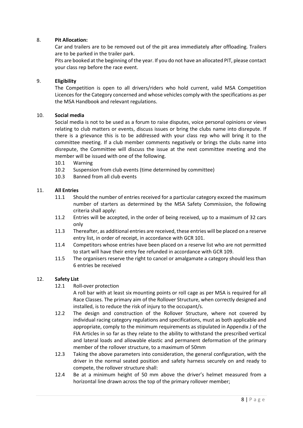## 8. **Pit Allocation:**

Car and trailers are to be removed out of the pit area immediately after offloading. Trailers are to be parked in the trailer park.

Pits are booked at the beginning of the year. If you do not have an allocated PIT, please contact your class rep before the race event.

#### 9. **Eligibility**

The Competition is open to all drivers/riders who hold current, valid MSA Competition Licences for the Category concerned and whose vehicles comply with the specifications as per the MSA Handbook and relevant regulations.

## 10. **Social media**

Social media is not to be used as a forum to raise disputes, voice personal opinions or views relating to club matters or events, discuss issues or bring the clubs name into disrepute. If there is a grievance this is to be addressed with your class rep who will bring it to the committee meeting. If a club member comments negatively or brings the clubs name into disrepute, the Committee will discuss the issue at the next committee meeting and the member will be issued with one of the following.

- 10.1 Warning
- 10.2 Suspension from club events (time determined by committee)
- 10.3 Banned from all club events

## 11. **All Entries**

- 11.1 Should the number of entries received for a particular category exceed the maximum number of starters as determined by the MSA Safety Commission, the following criteria shall apply:
- 11.2 Entries will be accepted, in the order of being received, up to a maximum of 32 cars only
- 11.3 Thereafter, as additional entries are received, these entries will be placed on a reserve entry list, in order of receipt, in accordance with GCR 101.
- 11.4 Competitors whose entries have been placed on a reserve list who are not permitted to start will have their entry fee refunded in accordance with GCR 109.
- 11.5 The organisers reserve the right to cancel or amalgamate a category should less than 6 entries be received

#### 12. **Safety List**

12.1 Roll-over protection

A roll bar with at least six mounting points or roll cage as per MSA is required for all Race Classes. The primary aim of the Rollover Structure, when correctly designed and installed, is to reduce the risk of injury to the occupant/s.

- 12.2 The design and construction of the Rollover Structure, where not covered by individual racing category regulations and specifications, must as both applicable and appropriate, comply to the minimum requirements as stipulated in Appendix J of the FIA Articles in so far as they relate to the ability to withstand the prescribed vertical and lateral loads and allowable elastic and permanent deformation of the primary member of the rollover structure, to a maximum of 50mm
- 12.3 Taking the above parameters into consideration, the general configuration, with the driver in the normal seated position and safety harness securely on and ready to compete, the rollover structure shall:
- 12.4 Be at a minimum height of 50 mm above the driver's helmet measured from a horizontal line drawn across the top of the primary rollover member;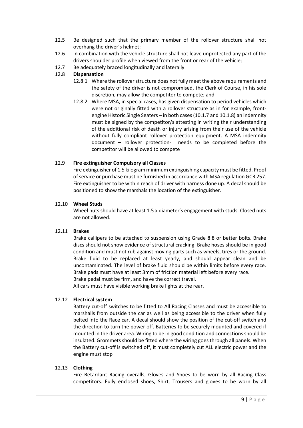- 12.5 Be designed such that the primary member of the rollover structure shall not overhang the driver's helmet;
- 12.6 In combination with the vehicle structure shall not leave unprotected any part of the drivers shoulder profile when viewed from the front or rear of the vehicle;
- 12.7 Be adequately braced longitudinally and laterally.

## 12.8 **Dispensation**

- 12.8.1 Where the rollover structure does not fully meet the above requirements and the safety of the driver is not compromised, the Clerk of Course, in his sole discretion, may allow the competitor to compete; and
- 12.8.2 Where MSA, in special cases, has given dispensation to period vehicles which were not originally fitted with a rollover structure as in for example, frontengine Historic Single Seaters – in both cases (10.1.7 and 10.1.8) an indemnity must be signed by the competitor/s attesting in writing their understanding of the additional risk of death or injury arising from their use of the vehicle without fully compliant rollover protection equipment. A MSA indemnity document – rollover protection- needs to be completed before the competitor will be allowed to compete

## 12.9 **Fire extinguisher Compulsory all Classes**

Fire extinguisher of 1.5 kilogram minimum extinguishing capacity must be fitted. Proof of service or purchase must be furnished in accordance with MSA regulation GCR 257. Fire extinguisher to be within reach of driver with harness done up. A decal should be positioned to show the marshals the location of the extinguisher.

#### 12.10 **Wheel Studs**

Wheel nuts should have at least 1.5 x diameter's engagement with studs. Closed nuts are not allowed.

#### 12.11 **Brakes**

Brake callipers to be attached to suspension using Grade 8.8 or better bolts. Brake discs should not show evidence of structural cracking. Brake hoses should be in good condition and must not rub against moving parts such as wheels, tires or the ground. Brake fluid to be replaced at least yearly, and should appear clean and be uncontaminated. The level of brake fluid should be within limits before every race. Brake pads must have at least 3mm of friction material left before every race.

Brake pedal must be firm, and have the correct travel.

All cars must have visible working brake lights at the rear.

## 12.12 **Electrical system**

Battery cut-off switches to be fitted to All Racing Classes and must be accessible to marshalls from outside the car as well as being accessible to the driver when fully belted into the Race car. A decal should show the position of the cut-off switch and the direction to turn the power off. Batteries to be securely mounted and covered if mounted in the driver area. Wiring to be in good condition and connections should be insulated. Grommets should be fitted where the wiring goes through all panels. When the Battery cut-off is switched off, it must completely cut ALL electric power and the engine must stop

#### 12.13 **Clothing**

Fire Retardant Racing overalls, Gloves and Shoes to be worn by all Racing Class competitors. Fully enclosed shoes, Shirt, Trousers and gloves to be worn by all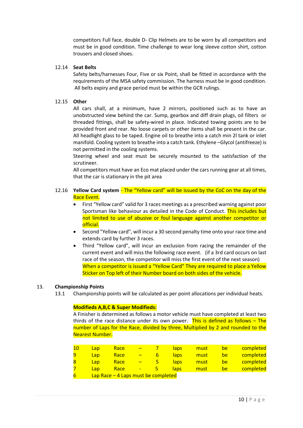competitors Full face, double D- Clip Helmets are to be worn by all competitors and must be in good condition. Time challenge to wear long sleeve cotton shirt, cotton trousers and closed shoes.

#### 12.14 **Seat Belts**

Safety belts/harnesses Four, Five or six Point, shall be fitted in accordance with the requirements of the MSA safety commission. The harness must be in good condition. All belts expiry and grace period must be within the GCR rulings.

#### 12.15 **Other**

All cars shall, at a minimum, have 2 mirrors, positioned such as to have an unobstructed view behind the car. Sump, gearbox and diff drain plugs, oil filters or threaded fittings, shall be safety-wired in place. Indicated towing points are to be provided front and rear. No loose carpets or other items shall be present in the car. All headlight glass to be taped. Engine oil to breathe into a catch min 2l tank or inlet manifold. Cooling system to breathe into a catch tank. Ethylene –Glycol (antifreeze) is not permitted in the cooling systems.

Steering wheel and seat must be securely mounted to the satisfaction of the scrutineer.

All competitors must have an Eco mat placed under the cars running gear at all times, that the car is stationary in the pit area

## 12.16 **Yellow Card system** - The "Yellow card" will be issued by the CoC on the day of the Race Event.

- First "Yellow card" valid for 3 races meetings as a prescribed warning against poor Sportsman like behaviour as detailed in the Code of Conduct. This includes but not limited to use of abusive or foul language against another competitor or official.
- Second "Yellow card", will incur a 30 second penalty time onto your race time and extends card by further 3 races.
- Third "Yellow card", will incur an exclusion from racing the remainder of the current event and will miss the following race event. (if a 3rd card occurs on last race of the season, the competitor will miss the first event of the next season) When a competitor is issued a "Yellow Card" They are required to place a Yellow Sticker on Top left of their Number board on both sides of the vehicle.

#### 13. **Championship Points**

13.1 Championship points will be calculated as per point allocations per individual heats.

#### **Modifieds A,B,C & Super Modifieds:**

A Finisher is determined as follows a motor vehicle must have completed at least two thirds of the race distance under its own power. This is defined as follows  $-$  The number of Laps for the Race, divided by three, Multiplied by 2 and rounded to the Nearest Number.

|   | Lap | Race                                 |   |   | <u>laps</u> | must | be | completed |
|---|-----|--------------------------------------|---|---|-------------|------|----|-----------|
| 9 | Lap | Race                                 |   | ь | laps:       | must | be | completed |
|   | Lap | Race                                 |   |   | laps:       | must | be | completed |
|   | Lap | Race                                 | ٠ | 5 | laps        | must | be | completed |
|   |     | Lap Race $-4$ Laps must be completed |   |   |             |      |    |           |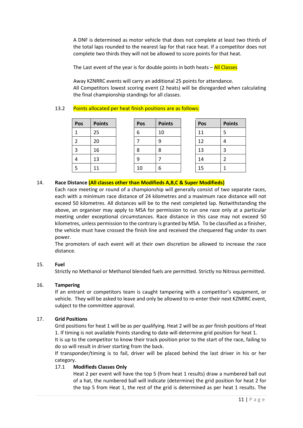A DNF is determined as motor vehicle that does not complete at least two thirds of the total laps rounded to the nearest lap for that race heat. If a competitor does not complete two thirds they will not be allowed to score points for that heat.

The Last event of the year is for double points in both heats  $-\frac{\text{All Classes}}{\text{All Classes}}$ 

Away KZNRRC events will carry an additional 25 points for attendance. All Competitors lowest scoring event (2 heats) will be disregarded when calculating the final championship standings for all classes.

## 13.2 Points allocated per heat finish positions are as follows:

| Pos | <b>Points</b> | Pos | <b>Points</b> | Pos | <b>Points</b> |
|-----|---------------|-----|---------------|-----|---------------|
|     | 25            | 6   | 10            | 11  |               |
|     | 20            |     | 9             | 12  |               |
| 3   | 16            | 8   | 8             | 13  | 3             |
| 4   | 13            | 9   |               | 14  |               |
| э   | 11            | 10  | 6             | 15  |               |

## 14. **Race Distance (All classes other than Modifieds A,B,C & Super Modifieds)**

Each race meeting or round of a championship will generally consist of two separate races, each with a minimum race distance of 24 kilometres and a maximum race distance will not exceed 50 kilometres. All distances will be to the next completed lap. Notwithstanding the above, an organiser may apply to MSA for permission to run one race only at a particular meeting under exceptional circumstances. Race distance in this case may not exceed 50 kilometres, unless permission to the contrary is granted by MSA. To be classified as a finisher, the vehicle must have crossed the finish line and received the chequered flag under its own power.

The promoters of each event will at their own discretion be allowed to increase the race distance.

#### 15. **Fuel**

Strictly no Methanol or Methanol blended fuels are permitted. Strictly no Nitrous permitted.

#### 16. **Tampering**

If an entrant or competitors team is caught tampering with a competitor's equipment, or vehicle. They will be asked to leave and only be allowed to re-enter their next KZNRRC event, subject to the committee approval.

#### 17. **Grid Positions**

Grid positions for heat 1 will be as per qualifying. Heat 2 will be as per finish positions of Heat 1. If timing is not available Points standing to date will determine grid position for heat 1.

It is up to the competitor to know their track position prior to the start of the race, failing to do so will result in driver starting from the back.

If transponder/timing is to fail, driver will be placed behind the last driver in his or her category.

## 17.1 **Modifieds Classes Only**

Heat 2 per event will have the top 5 (from heat 1 results) draw a numbered ball out of a hat, the numbered ball will indicate (determine) the grid position for heat 2 for the top 5 from Heat 1, the rest of the grid is determined as per heat 1 results. The